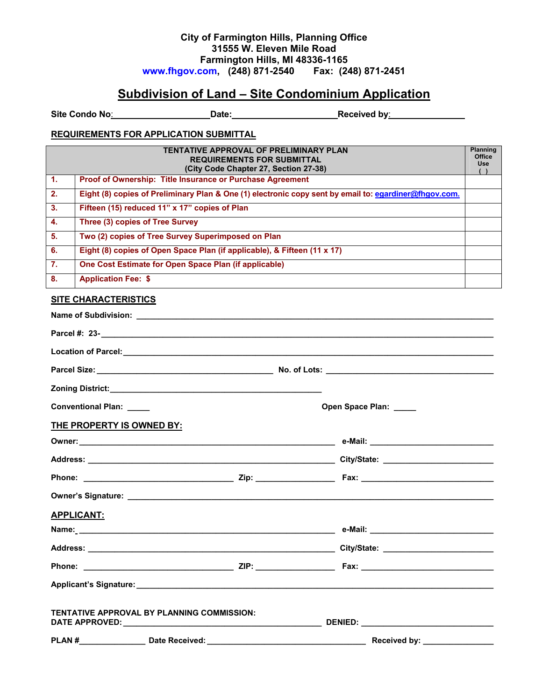# **City of Farmington Hills, Planning Office 31555 W. Eleven Mile Road Farmington Hills, MI 48336-1165 [www.fhgov.com](http://www.fhgov.com/), (248) 871-2540 Fax: (248) 871-2451**

# **Subdivision of Land – Site Condominium Application**

Site Condo No: **Date:** Date: **Received by:** Received by:

#### **REQUIREMENTS FOR APPLICATION SUBMITTAL**

|                  | <b>TENTATIVE APPROVAL OF PRELIMINARY PLAN</b><br><b>REQUIREMENTS FOR SUBMITTAL</b><br>(City Code Chapter 27, Section 27-38) | <b>Planning</b><br>Office<br><b>Use</b> |
|------------------|-----------------------------------------------------------------------------------------------------------------------------|-----------------------------------------|
| $\mathbf{1}$ .   | Proof of Ownership: Title Insurance or Purchase Agreement                                                                   |                                         |
| $\overline{2}$ . | Eight (8) copies of Preliminary Plan & One (1) electronic copy sent by email to: egardiner@fhgov.com.                       |                                         |
| 3.               | Fifteen (15) reduced 11" x 17" copies of Plan                                                                               |                                         |
| -4.              | Three (3) copies of Tree Survey                                                                                             |                                         |
| 5.               | Two (2) copies of Tree Survey Superimposed on Plan                                                                          |                                         |
| 6.               | Eight (8) copies of Open Space Plan (if applicable), & Fifteen (11 x 17)                                                    |                                         |
| $\overline{7}$ . | One Cost Estimate for Open Space Plan (if applicable)                                                                       |                                         |
| 8.               | <b>Application Fee: \$</b>                                                                                                  |                                         |

### **SITE CHARACTERISTICS**

|                                                   | Location of Parcel: example and the contract of the contract of the contract of the contract of the contract of the contract of the contract of the contract of the contract of the contract of the contract of the contract o |
|---------------------------------------------------|--------------------------------------------------------------------------------------------------------------------------------------------------------------------------------------------------------------------------------|
|                                                   |                                                                                                                                                                                                                                |
|                                                   |                                                                                                                                                                                                                                |
| Conventional Plan: ____                           | Open Space Plan: _____                                                                                                                                                                                                         |
| THE PROPERTY IS OWNED BY:                         |                                                                                                                                                                                                                                |
|                                                   |                                                                                                                                                                                                                                |
|                                                   |                                                                                                                                                                                                                                |
|                                                   |                                                                                                                                                                                                                                |
|                                                   |                                                                                                                                                                                                                                |
| <b>APPLICANT:</b>                                 |                                                                                                                                                                                                                                |
|                                                   |                                                                                                                                                                                                                                |
|                                                   |                                                                                                                                                                                                                                |
|                                                   |                                                                                                                                                                                                                                |
|                                                   |                                                                                                                                                                                                                                |
| <b>TENTATIVE APPROVAL BY PLANNING COMMISSION:</b> |                                                                                                                                                                                                                                |
|                                                   |                                                                                                                                                                                                                                |